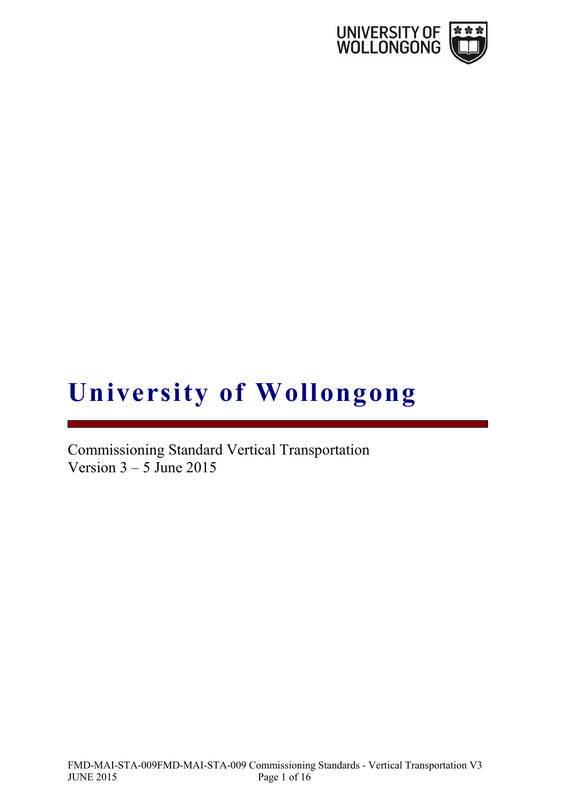

# **University of Wollongong**

Commissioning Standard Vertical Transportation Version  $3 - 5$  June 2015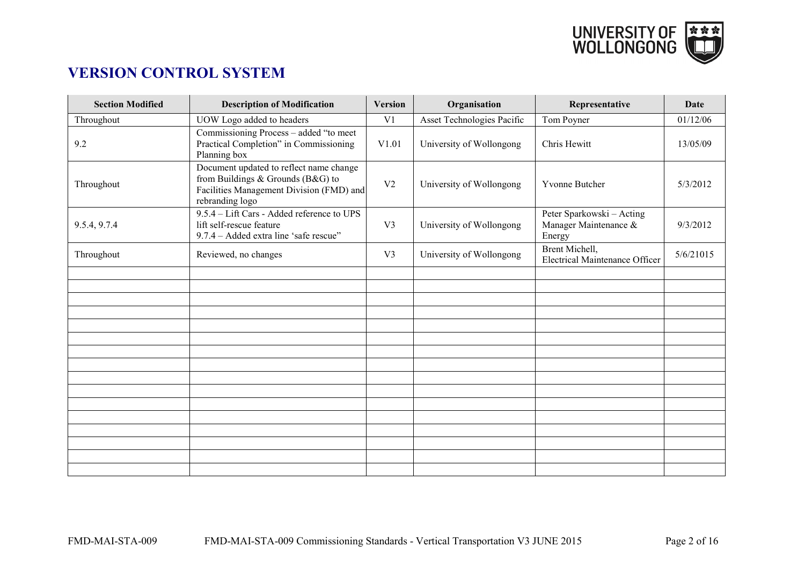

# **VERSION CONTROL SYSTEM**

| <b>Section Modified</b> | <b>Description of Modification</b>                                                                                                          | <b>Version</b> | Organisation               | Representative                                               | Date      |
|-------------------------|---------------------------------------------------------------------------------------------------------------------------------------------|----------------|----------------------------|--------------------------------------------------------------|-----------|
| Throughout              | UOW Logo added to headers                                                                                                                   | V <sub>1</sub> | Asset Technologies Pacific | Tom Poyner                                                   | 01/12/06  |
| 9.2                     | Commissioning Process - added "to meet<br>Practical Completion" in Commissioning<br>Planning box                                            | V1.01          | University of Wollongong   | Chris Hewitt                                                 | 13/05/09  |
| Throughout              | Document updated to reflect name change<br>from Buildings & Grounds (B&G) to<br>Facilities Management Division (FMD) and<br>rebranding logo | V <sub>2</sub> | University of Wollongong   | Yvonne Butcher                                               | 5/3/2012  |
| 9.5.4, 9.7.4            | 9.5.4 - Lift Cars - Added reference to UPS<br>lift self-rescue feature<br>9.7.4 - Added extra line 'safe rescue''                           | V <sub>3</sub> | University of Wollongong   | Peter Sparkowski - Acting<br>Manager Maintenance &<br>Energy | 9/3/2012  |
| Throughout              | Reviewed, no changes                                                                                                                        | V <sub>3</sub> | University of Wollongong   | Brent Michell,<br><b>Electrical Maintenance Officer</b>      | 5/6/21015 |
|                         |                                                                                                                                             |                |                            |                                                              |           |
|                         |                                                                                                                                             |                |                            |                                                              |           |
|                         |                                                                                                                                             |                |                            |                                                              |           |
|                         |                                                                                                                                             |                |                            |                                                              |           |
|                         |                                                                                                                                             |                |                            |                                                              |           |
|                         |                                                                                                                                             |                |                            |                                                              |           |
|                         |                                                                                                                                             |                |                            |                                                              |           |
|                         |                                                                                                                                             |                |                            |                                                              |           |
|                         |                                                                                                                                             |                |                            |                                                              |           |
|                         |                                                                                                                                             |                |                            |                                                              |           |
|                         |                                                                                                                                             |                |                            |                                                              |           |
|                         |                                                                                                                                             |                |                            |                                                              |           |
|                         |                                                                                                                                             |                |                            |                                                              |           |
|                         |                                                                                                                                             |                |                            |                                                              |           |
|                         |                                                                                                                                             |                |                            |                                                              |           |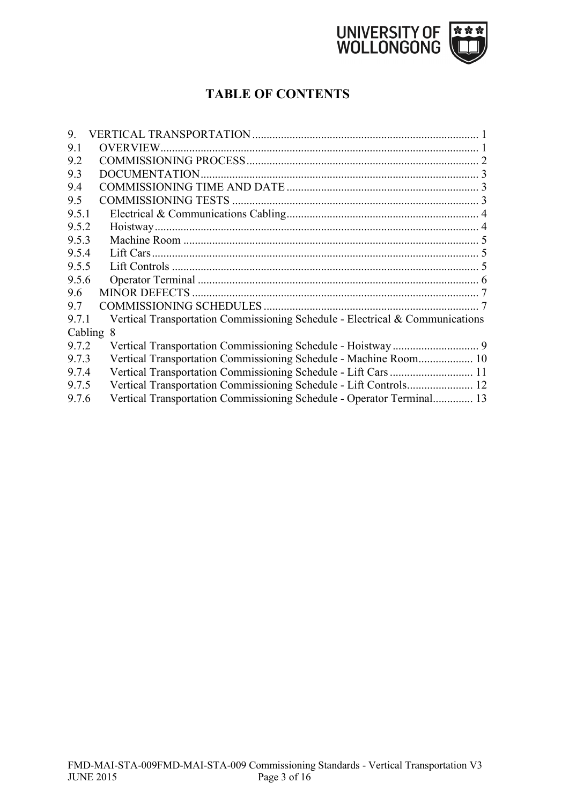

# **TABLE OF CONTENTS**

| 9.5.1        |                                                                                                                                                                                                                                                                                                                                                                 |
|--------------|-----------------------------------------------------------------------------------------------------------------------------------------------------------------------------------------------------------------------------------------------------------------------------------------------------------------------------------------------------------------|
| 9.5.2        |                                                                                                                                                                                                                                                                                                                                                                 |
| 9.5.3        |                                                                                                                                                                                                                                                                                                                                                                 |
| 9.5.4        |                                                                                                                                                                                                                                                                                                                                                                 |
| 9.5.5        |                                                                                                                                                                                                                                                                                                                                                                 |
| 9.5.6        |                                                                                                                                                                                                                                                                                                                                                                 |
|              |                                                                                                                                                                                                                                                                                                                                                                 |
|              |                                                                                                                                                                                                                                                                                                                                                                 |
| 9.7.1        |                                                                                                                                                                                                                                                                                                                                                                 |
| Cabling<br>8 |                                                                                                                                                                                                                                                                                                                                                                 |
| 9.7.2        |                                                                                                                                                                                                                                                                                                                                                                 |
| 9.7.3        |                                                                                                                                                                                                                                                                                                                                                                 |
| 9.7.4        |                                                                                                                                                                                                                                                                                                                                                                 |
| 9.7.5        |                                                                                                                                                                                                                                                                                                                                                                 |
| 9.7.6        |                                                                                                                                                                                                                                                                                                                                                                 |
|              | Vertical Transportation Commissioning Schedule - Electrical & Communications<br>Vertical Transportation Commissioning Schedule - Machine Room 10<br>Vertical Transportation Commissioning Schedule - Lift Cars 11<br>Vertical Transportation Commissioning Schedule - Lift Controls 12<br>Vertical Transportation Commissioning Schedule - Operator Terminal 13 |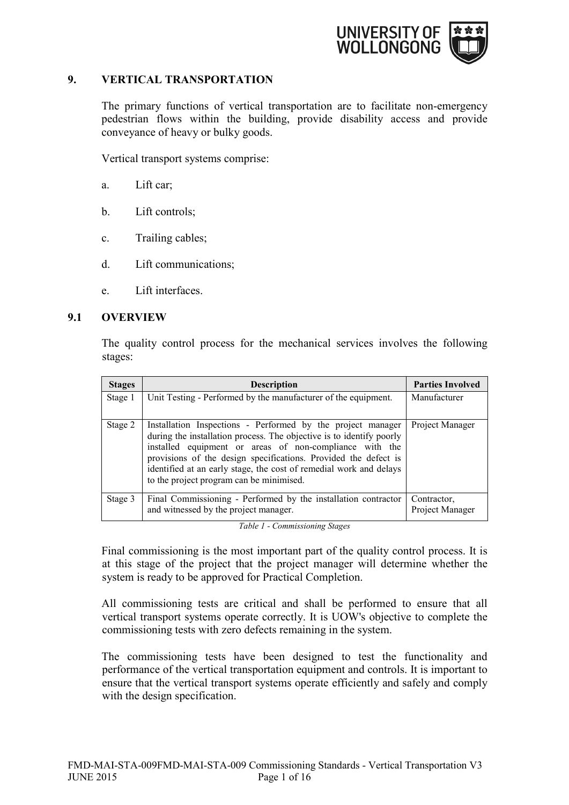

# <span id="page-3-0"></span>**9. VERTICAL TRANSPORTATION**

The primary functions of vertical transportation are to facilitate non-emergency pedestrian flows within the building, provide disability access and provide conveyance of heavy or bulky goods.

Vertical transport systems comprise:

- a. Lift car;
- b. Lift controls;
- c. Trailing cables;
- d. Lift communications;
- e. Lift interfaces.

#### <span id="page-3-1"></span>**9.1 OVERVIEW**

The quality control process for the mechanical services involves the following stages:

| <b>Stages</b> | <b>Description</b>                                                                                                                                                                                                                                                                                                                                                                  | <b>Parties Involved</b>        |
|---------------|-------------------------------------------------------------------------------------------------------------------------------------------------------------------------------------------------------------------------------------------------------------------------------------------------------------------------------------------------------------------------------------|--------------------------------|
| Stage 1       | Unit Testing - Performed by the manufacturer of the equipment.                                                                                                                                                                                                                                                                                                                      | Manufacturer                   |
| Stage 2       | Installation Inspections - Performed by the project manager<br>during the installation process. The objective is to identify poorly<br>installed equipment or areas of non-compliance with the<br>provisions of the design specifications. Provided the defect is<br>identified at an early stage, the cost of remedial work and delays<br>to the project program can be minimised. | Project Manager                |
| Stage 3       | Final Commissioning - Performed by the installation contractor<br>and witnessed by the project manager.                                                                                                                                                                                                                                                                             | Contractor,<br>Project Manager |

*Table 1 - Commissioning Stages*

Final commissioning is the most important part of the quality control process. It is at this stage of the project that the project manager will determine whether the system is ready to be approved for Practical Completion.

All commissioning tests are critical and shall be performed to ensure that all vertical transport systems operate correctly. It is UOW's objective to complete the commissioning tests with zero defects remaining in the system.

The commissioning tests have been designed to test the functionality and performance of the vertical transportation equipment and controls. It is important to ensure that the vertical transport systems operate efficiently and safely and comply with the design specification.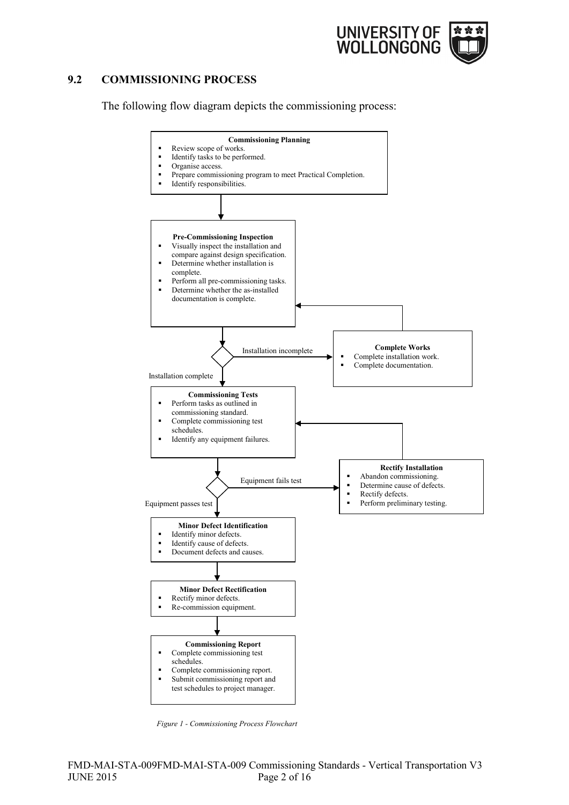

# <span id="page-4-0"></span>**9.2 COMMISSIONING PROCESS**

The following flow diagram depicts the commissioning process:



*Figure 1 - Commissioning Process Flowchart*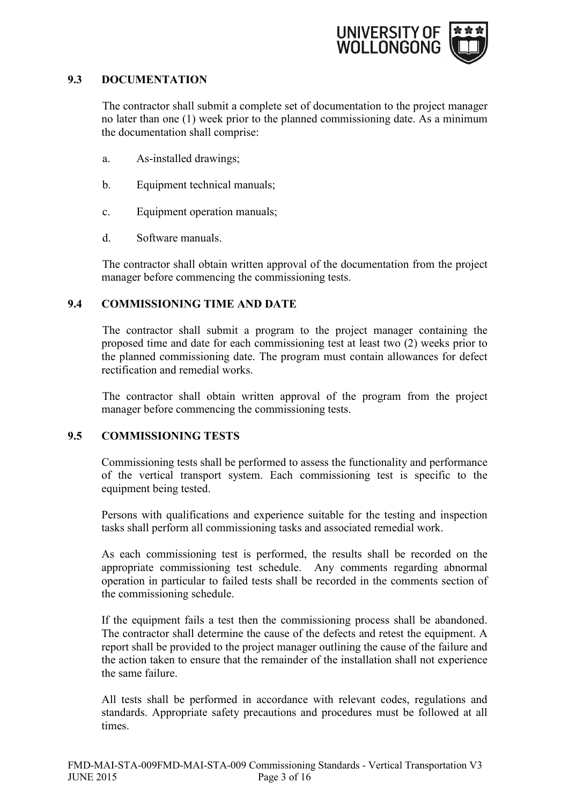

# <span id="page-5-0"></span>**9.3 DOCUMENTATION**

The contractor shall submit a complete set of documentation to the project manager no later than one (1) week prior to the planned commissioning date. As a minimum the documentation shall comprise:

- a. As-installed drawings;
- b. Equipment technical manuals;
- c. Equipment operation manuals;
- d. Software manuals.

The contractor shall obtain written approval of the documentation from the project manager before commencing the commissioning tests.

# <span id="page-5-1"></span>**9.4 COMMISSIONING TIME AND DATE**

The contractor shall submit a program to the project manager containing the proposed time and date for each commissioning test at least two (2) weeks prior to the planned commissioning date. The program must contain allowances for defect rectification and remedial works.

The contractor shall obtain written approval of the program from the project manager before commencing the commissioning tests.

## <span id="page-5-2"></span>**9.5 COMMISSIONING TESTS**

Commissioning tests shall be performed to assess the functionality and performance of the vertical transport system. Each commissioning test is specific to the equipment being tested.

Persons with qualifications and experience suitable for the testing and inspection tasks shall perform all commissioning tasks and associated remedial work.

As each commissioning test is performed, the results shall be recorded on the appropriate commissioning test schedule. Any comments regarding abnormal operation in particular to failed tests shall be recorded in the comments section of the commissioning schedule.

If the equipment fails a test then the commissioning process shall be abandoned. The contractor shall determine the cause of the defects and retest the equipment. A report shall be provided to the project manager outlining the cause of the failure and the action taken to ensure that the remainder of the installation shall not experience the same failure.

All tests shall be performed in accordance with relevant codes, regulations and standards. Appropriate safety precautions and procedures must be followed at all times.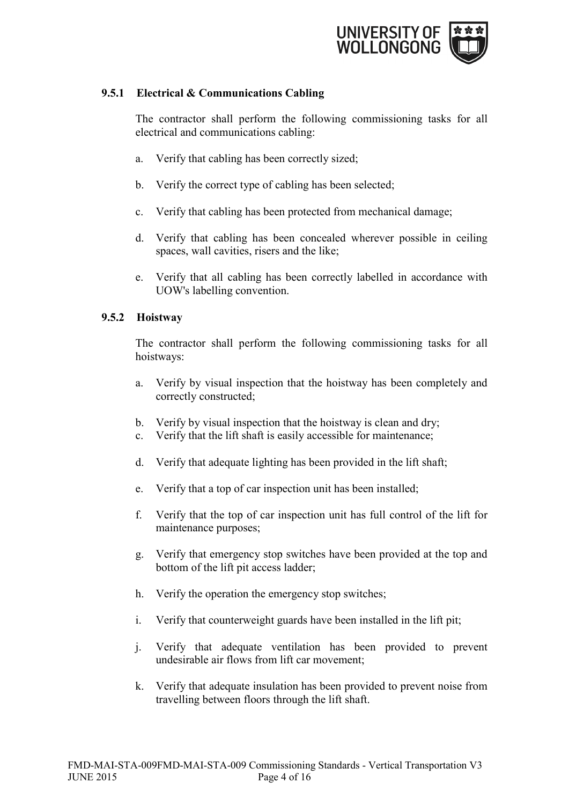

# <span id="page-6-0"></span>**9.5.1 Electrical & Communications Cabling**

The contractor shall perform the following commissioning tasks for all electrical and communications cabling:

- a. Verify that cabling has been correctly sized;
- b. Verify the correct type of cabling has been selected;
- c. Verify that cabling has been protected from mechanical damage;
- d. Verify that cabling has been concealed wherever possible in ceiling spaces, wall cavities, risers and the like;
- e. Verify that all cabling has been correctly labelled in accordance with UOW's labelling convention.

## <span id="page-6-1"></span>**9.5.2 Hoistway**

The contractor shall perform the following commissioning tasks for all hoistways:

- a. Verify by visual inspection that the hoistway has been completely and correctly constructed;
- b. Verify by visual inspection that the hoistway is clean and dry;
- c. Verify that the lift shaft is easily accessible for maintenance;
- d. Verify that adequate lighting has been provided in the lift shaft;
- e. Verify that a top of car inspection unit has been installed;
- f. Verify that the top of car inspection unit has full control of the lift for maintenance purposes;
- g. Verify that emergency stop switches have been provided at the top and bottom of the lift pit access ladder;
- h. Verify the operation the emergency stop switches;
- i. Verify that counterweight guards have been installed in the lift pit;
- j. Verify that adequate ventilation has been provided to prevent undesirable air flows from lift car movement;
- k. Verify that adequate insulation has been provided to prevent noise from travelling between floors through the lift shaft.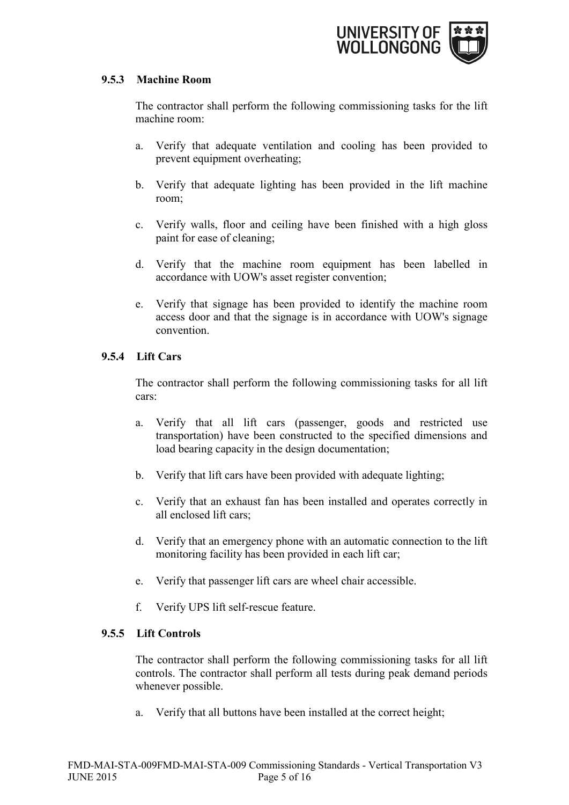

## <span id="page-7-0"></span>**9.5.3 Machine Room**

The contractor shall perform the following commissioning tasks for the lift machine room:

- a. Verify that adequate ventilation and cooling has been provided to prevent equipment overheating;
- b. Verify that adequate lighting has been provided in the lift machine room;
- c. Verify walls, floor and ceiling have been finished with a high gloss paint for ease of cleaning;
- d. Verify that the machine room equipment has been labelled in accordance with UOW's asset register convention;
- e. Verify that signage has been provided to identify the machine room access door and that the signage is in accordance with UOW's signage convention.

# <span id="page-7-1"></span>**9.5.4 Lift Cars**

The contractor shall perform the following commissioning tasks for all lift cars:

- a. Verify that all lift cars (passenger, goods and restricted use transportation) have been constructed to the specified dimensions and load bearing capacity in the design documentation;
- b. Verify that lift cars have been provided with adequate lighting;
- c. Verify that an exhaust fan has been installed and operates correctly in all enclosed lift cars;
- d. Verify that an emergency phone with an automatic connection to the lift monitoring facility has been provided in each lift car;
- e. Verify that passenger lift cars are wheel chair accessible.
- f. Verify UPS lift self-rescue feature.

# <span id="page-7-2"></span>**9.5.5 Lift Controls**

The contractor shall perform the following commissioning tasks for all lift controls. The contractor shall perform all tests during peak demand periods whenever possible.

a. Verify that all buttons have been installed at the correct height;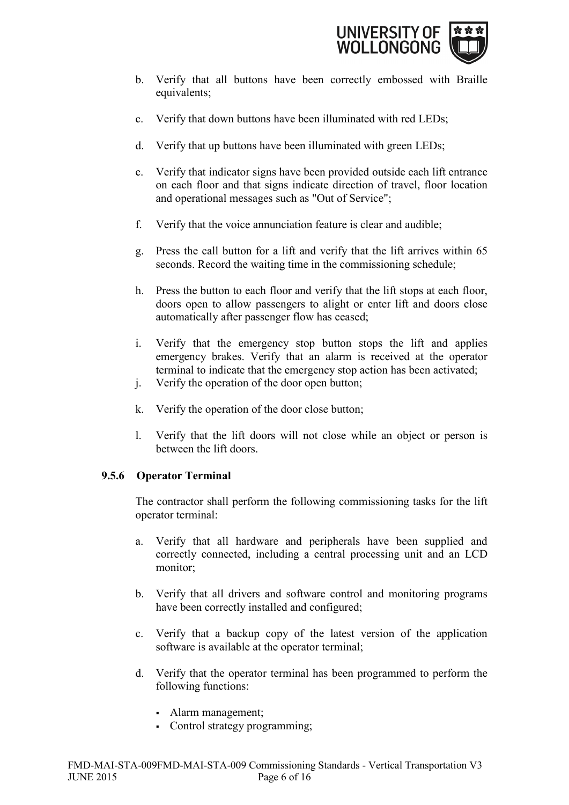

- b. Verify that all buttons have been correctly embossed with Braille equivalents;
- c. Verify that down buttons have been illuminated with red LEDs;
- d. Verify that up buttons have been illuminated with green LEDs;
- e. Verify that indicator signs have been provided outside each lift entrance on each floor and that signs indicate direction of travel, floor location and operational messages such as "Out of Service";
- f. Verify that the voice annunciation feature is clear and audible;
- g. Press the call button for a lift and verify that the lift arrives within 65 seconds. Record the waiting time in the commissioning schedule;
- h. Press the button to each floor and verify that the lift stops at each floor, doors open to allow passengers to alight or enter lift and doors close automatically after passenger flow has ceased;
- i. Verify that the emergency stop button stops the lift and applies emergency brakes. Verify that an alarm is received at the operator terminal to indicate that the emergency stop action has been activated;
- j. Verify the operation of the door open button;
- k. Verify the operation of the door close button;
- l. Verify that the lift doors will not close while an object or person is between the lift doors.

# <span id="page-8-0"></span>**9.5.6 Operator Terminal**

The contractor shall perform the following commissioning tasks for the lift operator terminal:

- a. Verify that all hardware and peripherals have been supplied and correctly connected, including a central processing unit and an LCD monitor;
- b. Verify that all drivers and software control and monitoring programs have been correctly installed and configured;
- c. Verify that a backup copy of the latest version of the application software is available at the operator terminal;
- d. Verify that the operator terminal has been programmed to perform the following functions:
	- Alarm management;
	- Control strategy programming;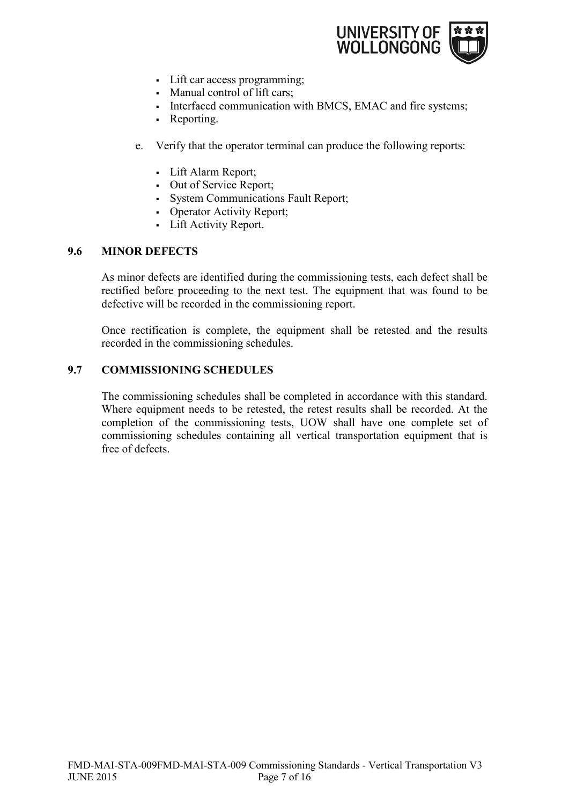

- Lift car access programming;
- Manual control of lift cars;
- Interfaced communication with BMCS, EMAC and fire systems;
- Reporting.
- e. Verify that the operator terminal can produce the following reports:
	- Lift Alarm Report;
	- Out of Service Report;
	- System Communications Fault Report;
	- Operator Activity Report;
	- Lift Activity Report.

## <span id="page-9-0"></span>**9.6 MINOR DEFECTS**

As minor defects are identified during the commissioning tests, each defect shall be rectified before proceeding to the next test. The equipment that was found to be defective will be recorded in the commissioning report.

Once rectification is complete, the equipment shall be retested and the results recorded in the commissioning schedules.

## <span id="page-9-1"></span>**9.7 COMMISSIONING SCHEDULES**

The commissioning schedules shall be completed in accordance with this standard. Where equipment needs to be retested, the retest results shall be recorded. At the completion of the commissioning tests, UOW shall have one complete set of commissioning schedules containing all vertical transportation equipment that is free of defects.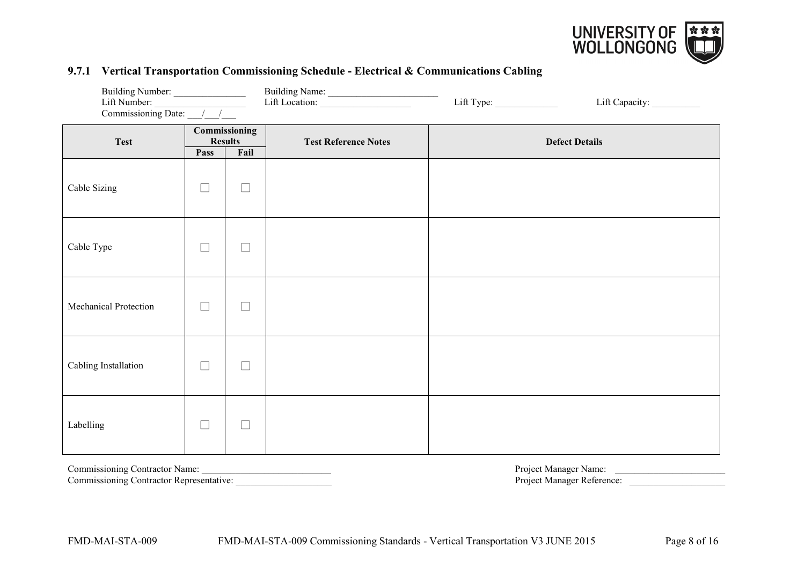

# Building Number: \_\_\_\_\_\_\_\_\_\_\_\_\_\_\_ Building Name: \_\_\_\_\_\_\_\_\_\_\_\_\_\_\_\_\_\_\_\_\_\_\_ Lift Number: \_\_\_\_\_\_\_\_\_\_\_\_\_\_\_\_\_\_\_ Lift Location: \_\_\_\_\_\_\_\_\_\_\_\_\_\_\_\_\_\_\_ Lift Type: \_\_\_\_\_\_\_\_\_\_\_\_\_ Lift Capacity: \_\_\_\_\_\_\_\_\_\_ Commissioning Date:  $\frac{1}{2}$ **Test Commissioning Test Reference Notes Defect Details Pass Fail** Cable Sizing **Ⅰ □ □ □** Cable Type **b**  $\Box$   $\Box$   $\Box$ Mechanical Protection **⃞ ⃞** Cabling Installation **Ⅰ □ □** □ Labelling  $\Box$   $\Box$   $\Box$

#### **9.7.1 Vertical Transportation Commissioning Schedule - Electrical & Communications Cabling**

Commissioning Contractor Representative:

<span id="page-10-0"></span>Commissioning Contractor Name: \_\_\_\_\_\_\_\_\_\_\_\_\_\_\_\_\_\_\_\_\_\_\_\_\_\_\_ Project Manager Name: \_\_\_\_\_\_\_\_\_\_\_\_\_\_\_\_\_\_\_\_\_\_\_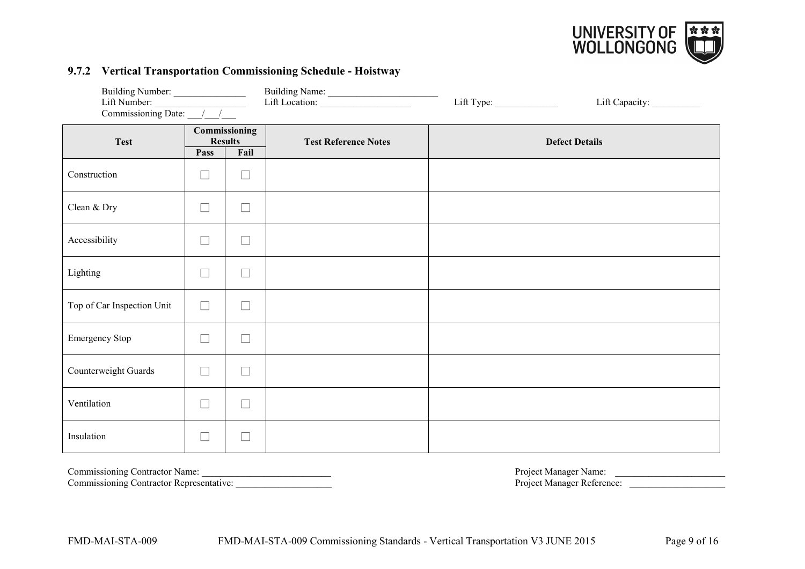

#### **9.7.2 Vertical Transportation Commissioning Schedule - Hoistway**

| Building Number:<br>Lift Number:<br>Commissioning Date: __/__/___ |        |                                         | Building Name:<br>Lift Location: | Lift Capacity: ___________ |  |
|-------------------------------------------------------------------|--------|-----------------------------------------|----------------------------------|----------------------------|--|
| <b>Test</b>                                                       | Pass   | Commissioning<br><b>Results</b><br>Fail | <b>Test Reference Notes</b>      | <b>Defect Details</b>      |  |
| Construction                                                      | $\Box$ | $\Box$                                  |                                  |                            |  |
| Clean & Dry                                                       | $\Box$ | $\Box$                                  |                                  |                            |  |
| Accessibility                                                     | $\Box$ | $\Box$                                  |                                  |                            |  |
| Lighting                                                          | $\Box$ | $\overline{\phantom{a}}$                |                                  |                            |  |
| Top of Car Inspection Unit                                        | $\Box$ | L                                       |                                  |                            |  |
| Emergency Stop                                                    | $\Box$ | $\Box$                                  |                                  |                            |  |
| Counterweight Guards                                              | $\Box$ | $\sim$                                  |                                  |                            |  |
| Ventilation                                                       | $\Box$ | L                                       |                                  |                            |  |
| Insulation                                                        | $\Box$ | $\overline{\phantom{a}}$                |                                  |                            |  |

Commissioning Contractor Name: \_\_\_\_\_\_\_\_\_\_\_\_\_\_\_\_\_\_\_\_\_\_\_\_\_\_\_ Project Manager Name: \_\_\_\_\_\_\_\_\_\_\_\_\_\_\_\_\_\_\_\_\_\_\_

<span id="page-11-0"></span>Commissioning Contractor Representative: \_\_\_\_\_\_\_\_\_\_\_\_\_\_\_\_\_\_\_\_ Project Manager Reference: \_\_\_\_\_\_\_\_\_\_\_\_\_\_\_\_\_\_\_\_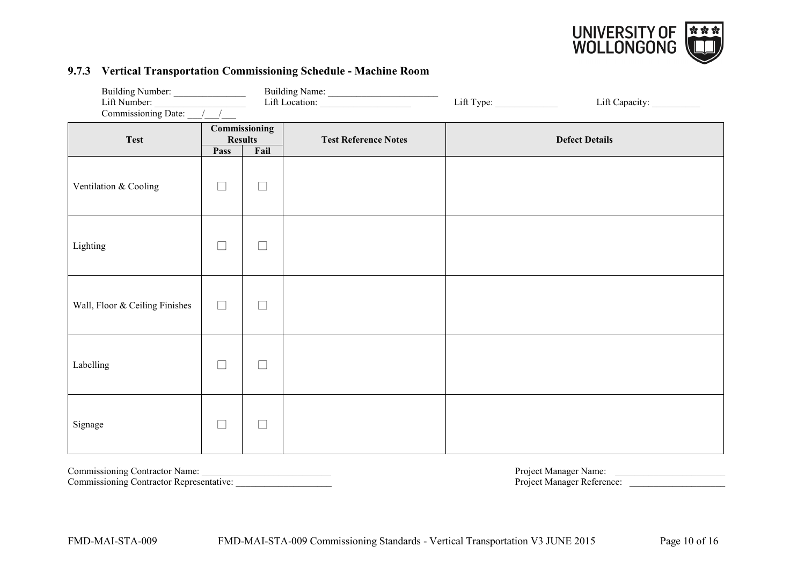

#### **9.7.3 Vertical Transportation Commissioning Schedule - Machine Room**

| Building Number:<br>Lift Number:<br>Commissioning Date: $\frac{1}{\sqrt{2\pi}}$ |                                                 |        | Building Name:<br>Lift Location: |                       |  |
|---------------------------------------------------------------------------------|-------------------------------------------------|--------|----------------------------------|-----------------------|--|
| <b>Test</b>                                                                     | Commissioning<br><b>Results</b><br>Pass<br>Fail |        | <b>Test Reference Notes</b>      | <b>Defect Details</b> |  |
| Ventilation & Cooling                                                           | $\Box$                                          | $\Box$ |                                  |                       |  |
| Lighting                                                                        | $\Box$                                          | $\Box$ |                                  |                       |  |
| Wall, Floor & Ceiling Finishes                                                  | $\Box$                                          | $\Box$ |                                  |                       |  |
| Labelling                                                                       | $\Box$                                          | $\Box$ |                                  |                       |  |
| Signage                                                                         | ப                                               | $\Box$ |                                  |                       |  |

Commissioning Contractor Name: \_\_\_\_\_\_\_\_\_\_\_\_\_\_\_\_\_\_\_\_\_\_\_\_\_\_\_ Project Manager Name: \_\_\_\_\_\_\_\_\_\_\_\_\_\_\_\_\_\_\_\_\_\_\_

<span id="page-12-0"></span>Commissioning Contractor Representative: \_\_\_\_\_\_\_\_\_\_\_\_\_\_\_\_\_\_\_\_ Project Manager Reference: \_\_\_\_\_\_\_\_\_\_\_\_\_\_\_\_\_\_\_\_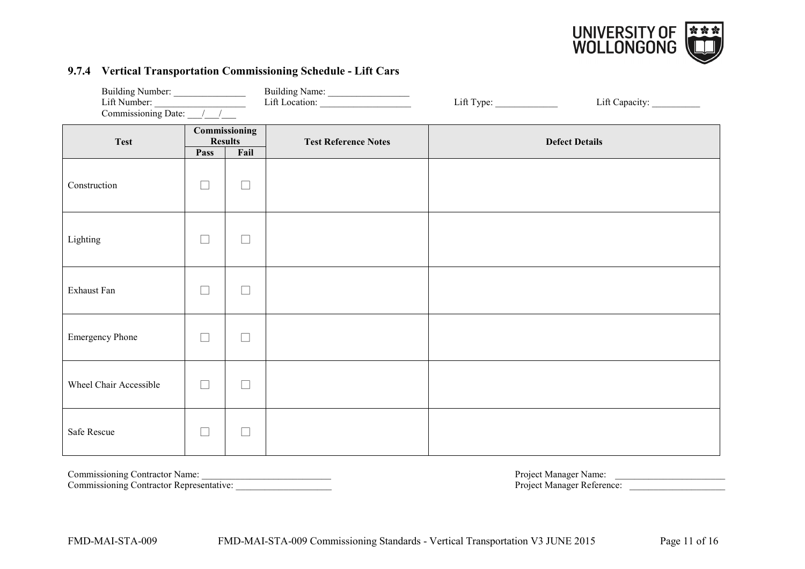

# **9.7.4 Vertical Transportation Commissioning Schedule - Lift Cars**

| Building Number:<br>Lift Number:<br>Commissioning Date: $\sqrt{\frac{1}{1-\frac{1}{1-\frac{1}{1-\frac{1}{1-\frac{1}{1-\frac{1}{1-\frac{1}{1-\frac{1}{1-\frac{1}{1-\frac{1}{1-\frac{1}{1-\frac{1}{1-\frac{1}{1-\frac{1}{1-\frac{1}{1-\frac{1}{1-\frac{1}{1-\frac{1}{1-\frac{1}{1-\frac{1}{1-\frac{1}{1-\frac{1}{1-\frac{1}{1-\frac{1}{1-\frac{1}{1-\frac{1}{1-\frac{1}{1-\frac{1}{1-\frac{1}{1-\frac{1}{1-\frac{1}{1-\frac{1}{1-\frac{1}{1$ |                                 |               | Building Name:<br>Lift Location: |                       | Lift Capacity: ___________ |  |
|--------------------------------------------------------------------------------------------------------------------------------------------------------------------------------------------------------------------------------------------------------------------------------------------------------------------------------------------------------------------------------------------------------------------------------------------|---------------------------------|---------------|----------------------------------|-----------------------|----------------------------|--|
| <b>Test</b>                                                                                                                                                                                                                                                                                                                                                                                                                                | Commissioning<br><b>Results</b> |               | <b>Test Reference Notes</b>      | <b>Defect Details</b> |                            |  |
|                                                                                                                                                                                                                                                                                                                                                                                                                                            | Pass                            | Fail          |                                  |                       |                            |  |
| Construction                                                                                                                                                                                                                                                                                                                                                                                                                               | $\Box$                          | $\Box$        |                                  |                       |                            |  |
| Lighting                                                                                                                                                                                                                                                                                                                                                                                                                                   | $\Box$                          | $\Box$        |                                  |                       |                            |  |
| Exhaust Fan                                                                                                                                                                                                                                                                                                                                                                                                                                | $\Box$                          | $\Box$        |                                  |                       |                            |  |
| <b>Emergency Phone</b>                                                                                                                                                                                                                                                                                                                                                                                                                     | $\Box$                          | $\Box$        |                                  |                       |                            |  |
| Wheel Chair Accessible                                                                                                                                                                                                                                                                                                                                                                                                                     | $\Box$                          | $\Box$        |                                  |                       |                            |  |
| Safe Rescue                                                                                                                                                                                                                                                                                                                                                                                                                                | $\Box$                          | $\mathcal{L}$ |                                  |                       |                            |  |

Commissioning Contractor Representative:

<span id="page-13-0"></span>Commissioning Contractor Name: \_\_\_\_\_\_\_\_\_\_\_\_\_\_\_\_\_\_\_\_\_\_\_\_\_\_\_ Project Manager Name: \_\_\_\_\_\_\_\_\_\_\_\_\_\_\_\_\_\_\_\_\_\_\_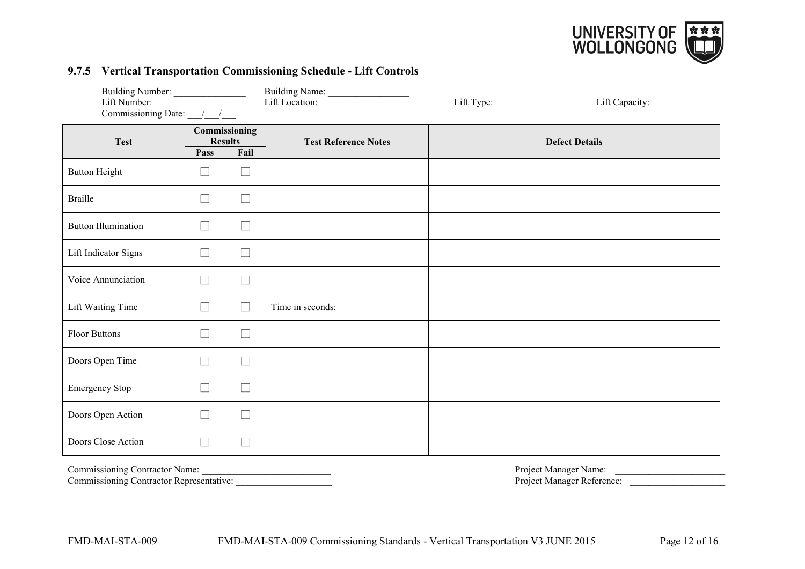

# **9.7.5 Vertical Transportation Commissioning Schedule - Lift Controls**

| Building Number:<br>Lift Number: $\frac{1}{\sqrt{1-\frac{1}{2}}\sqrt{1-\frac{1}{2}}\sqrt{1-\frac{1}{2}}\sqrt{1-\frac{1}{2}}}}$<br>Commissioning Date: $\frac{\sqrt{1-\sqrt{1-\frac{1}{2}}}$ |                                                 |                          | Building Name:<br>Lift Location: | Lift Type: |                       |  |
|---------------------------------------------------------------------------------------------------------------------------------------------------------------------------------------------|-------------------------------------------------|--------------------------|----------------------------------|------------|-----------------------|--|
| <b>Test</b>                                                                                                                                                                                 | Commissioning<br><b>Results</b><br>Fail<br>Pass |                          | <b>Test Reference Notes</b>      |            | <b>Defect Details</b> |  |
| <b>Button Height</b>                                                                                                                                                                        | ⊔                                               | $\Box$                   |                                  |            |                       |  |
| <b>Braille</b>                                                                                                                                                                              | $\Box$                                          | $\overline{\phantom{a}}$ |                                  |            |                       |  |
| <b>Button Illumination</b>                                                                                                                                                                  | $\Box$                                          | $\overline{\phantom{a}}$ |                                  |            |                       |  |
| Lift Indicator Signs                                                                                                                                                                        | $\Box$                                          |                          |                                  |            |                       |  |
| Voice Annunciation                                                                                                                                                                          | $\Box$                                          | $\sim$                   |                                  |            |                       |  |
| Lift Waiting Time                                                                                                                                                                           | $\Box$                                          | $\vert \ \ \vert$        | Time in seconds:                 |            |                       |  |
| <b>Floor Buttons</b>                                                                                                                                                                        | $\Box$                                          | $\Box$                   |                                  |            |                       |  |
| Doors Open Time                                                                                                                                                                             | $\Box$                                          | $\Box$                   |                                  |            |                       |  |
| Emergency Stop                                                                                                                                                                              | $\Box$                                          | $\Box$                   |                                  |            |                       |  |
| Doors Open Action                                                                                                                                                                           | $\Box$                                          | $\Box$                   |                                  |            |                       |  |
| Doors Close Action                                                                                                                                                                          | $\Box$                                          |                          |                                  |            |                       |  |

<span id="page-14-0"></span>

Commissioning Contractor Representative: \_\_\_\_\_\_\_\_\_\_\_\_\_\_\_\_\_\_\_\_ Project Manager Reference: \_\_\_\_\_\_\_\_\_\_\_\_\_\_\_\_\_\_\_\_

Commissioning Contractor Name: \_\_\_\_\_\_\_\_\_\_\_\_\_\_\_\_\_\_\_\_\_\_\_\_\_\_\_ Project Manager Name: \_\_\_\_\_\_\_\_\_\_\_\_\_\_\_\_\_\_\_\_\_\_\_